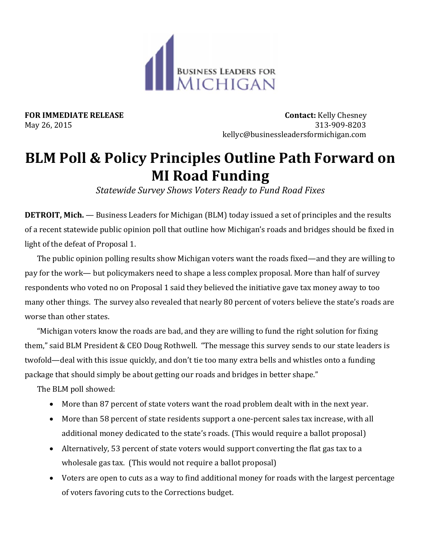

**FOR IMMEDIATE RELEASE CONTACT:** Kelly Chesney<br>May 26, 2015 **Contact:** Kelly Chesney May 26, 2015 313-909-8203 kellyc@businessleadersformichigan.com

## **BLM Poll & Policy Principles Outline Path Forward on MI Road Funding**

*Statewide Survey Shows Voters Ready to Fund Road Fixes*

**DETROIT, Mich.** — Business Leaders for Michigan (BLM) today issued a set of principles and the results of a recent statewide public opinion poll that outline how Michigan's roads and bridges should be fixed in light of the defeat of Proposal 1.

The public opinion polling results show Michigan voters want the roads fixed—and they are willing to pay for the work— but policymakers need to shape a less complex proposal. More than half of survey respondents who voted no on Proposal 1 said they believed the initiative gave tax money away to too many other things. The survey also revealed that nearly 80 percent of voters believe the state's roads are worse than other states.

"Michigan voters know the roads are bad, and they are willing to fund the right solution for fixing them," said BLM President & CEO Doug Rothwell. "The message this survey sends to our state leaders is twofold—deal with this issue quickly, and don't tie too many extra bells and whistles onto a funding package that should simply be about getting our roads and bridges in better shape."

The BLM poll showed:

- More than 87 percent of state voters want the road problem dealt with in the next year.
- More than 58 percent of state residents support a one-percent sales tax increase, with all additional money dedicated to the state's roads. (This would require a ballot proposal)
- Alternatively, 53 percent of state voters would support converting the flat gas tax to a wholesale gas tax. (This would not require a ballot proposal)
- Voters are open to cuts as a way to find additional money for roads with the largest percentage of voters favoring cuts to the Corrections budget.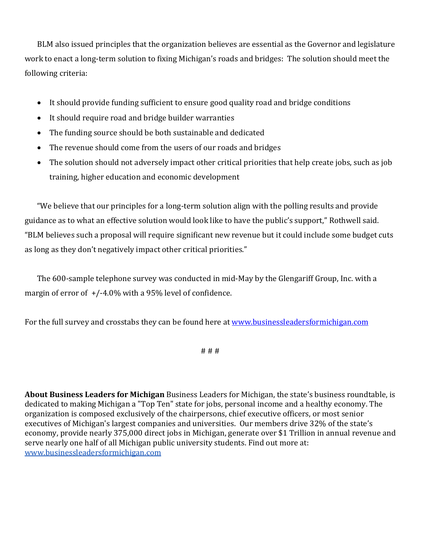BLM also issued principles that the organization believes are essential as the Governor and legislature work to enact a long-term solution to fixing Michigan's roads and bridges: The solution should meet the following criteria:

- It should provide funding sufficient to ensure good quality road and bridge conditions
- It should require road and bridge builder warranties
- The funding source should be both sustainable and dedicated
- The revenue should come from the users of our roads and bridges
- The solution should not adversely impact other critical priorities that help create jobs, such as job training, higher education and economic development

"We believe that our principles for a long-term solution align with the polling results and provide guidance as to what an effective solution would look like to have the public's support," Rothwell said. "BLM believes such a proposal will require significant new revenue but it could include some budget cuts as long as they don't negatively impact other critical priorities."

The 600-sample telephone survey was conducted in mid-May by the Glengariff Group, Inc. with a margin of error of +/-4.0% with a 95% level of confidence.

For the full survey and crosstabs they can be found here at [www.businessleadersformichigan.com](http://www.businessleadersformichigan.com/)

# # #

**About Business Leaders for Michigan** Business Leaders for Michigan, the state's business roundtable, is dedicated to making Michigan a "Top Ten" state for jobs, personal income and a healthy economy. The organization is composed exclusively of the chairpersons, chief executive officers, or most senior executives of Michigan's largest companies and universities. Our members drive 32% of the state's economy, provide nearly 375,000 direct jobs in Michigan, generate over \$1 Trillion in annual revenue and serve nearly one half of all Michigan public university students. Find out more at: [www.businessleadersformichigan.com](http://www.businessleadersformichigan.com/)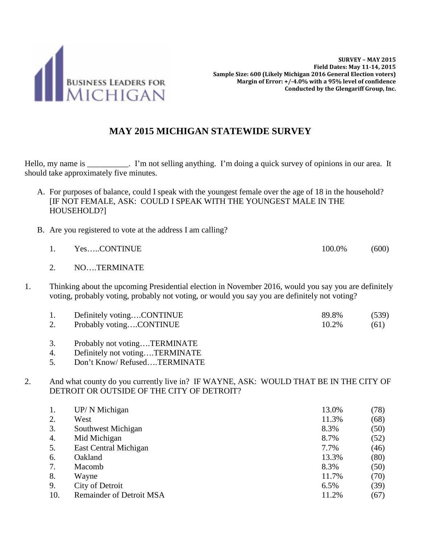

## **MAY 2015 MICHIGAN STATEWIDE SURVEY**

Hello, my name is \_\_\_\_\_\_\_\_\_. I'm not selling anything. I'm doing a quick survey of opinions in our area. It should take approximately five minutes.

- A. For purposes of balance, could I speak with the youngest female over the age of 18 in the household? [IF NOT FEMALE, ASK: COULD I SPEAK WITH THE YOUNGEST MALE IN THE HOUSEHOLD?]
- B. Are you registered to vote at the address I am calling?
	- 1. Yes.....CONTINUE 100.0% (600)
	- 2. NO….TERMINATE
- 1. Thinking about the upcoming Presidential election in November 2016, would you say you are definitely voting, probably voting, probably not voting, or would you say you are definitely not voting?

|    | Definitely votingCONTINUE | 89.8% | (539) |
|----|---------------------------|-------|-------|
| Ź. | Probably votingCONTINUE   | 10.2% | (61)  |

- 3. Probably not voting….TERMINATE
- 4. Definitely not voting….TERMINATE
- 5. Don't Know/ Refused….TERMINATE

2. And what county do you currently live in? IF WAYNE, ASK: WOULD THAT BE IN THE CITY OF DETROIT OR OUTSIDE OF THE CITY OF DETROIT?

| 1.  | UP/ N Michigan                  | 13.0% | (78) |
|-----|---------------------------------|-------|------|
| 2.  | West                            | 11.3% | (68) |
| 3.  | Southwest Michigan              | 8.3%  | (50) |
| 4.  | Mid Michigan                    | 8.7%  | (52) |
| 5.  | East Central Michigan           | 7.7%  | (46) |
| 6.  | Oakland                         | 13.3% | (80) |
| 7.  | Macomb                          | 8.3%  | (50) |
| 8.  | Wayne                           | 11.7% | (70) |
| 9.  | City of Detroit                 | 6.5%  | (39) |
| 10. | <b>Remainder of Detroit MSA</b> | 11.2% | (67) |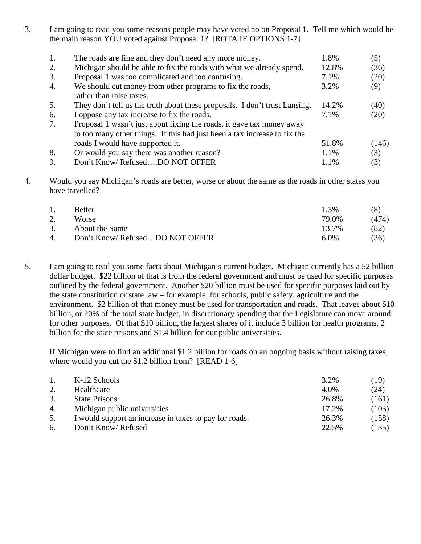3. I am going to read you some reasons people may have voted no on Proposal 1. Tell me which would be the main reason YOU voted against Proposal 1? [ROTATE OPTIONS 1-7]

| 1. | The roads are fine and they don't need any more money.                                | 1.8%  | (5)   |
|----|---------------------------------------------------------------------------------------|-------|-------|
| 2. | Michigan should be able to fix the roads with what we already spend.                  | 12.8% | (36)  |
| 3. | Proposal 1 was too complicated and too confusing.                                     | 7.1%  | (20)  |
| 4. | We should cut money from other programs to fix the roads,<br>rather than raise taxes. | 3.2%  | (9)   |
| 5. | They don't tell us the truth about these proposals. I don't trust Lansing.            | 14.2% | (40)  |
| 6. | I oppose any tax increase to fix the roads.                                           | 7.1%  | (20)  |
| 7. | Proposal 1 wasn't just about fixing the roads, it gave tax money away                 |       |       |
|    | to too many other things. If this had just been a tax increase to fix the             |       |       |
|    | roads I would have supported it.                                                      | 51.8% | (146) |
| 8. | Or would you say there was another reason?                                            | 1.1%  | (3)   |
| 9. | Don't Know/RefusedDO NOT OFFER                                                        | 1.1%  | (3)   |

4. Would you say Michigan's roads are better, worse or about the same as the roads in other states you have travelled?

| $\mathbf{1}$ . | <b>Better</b>                  | 1.3%    | (8)   |
|----------------|--------------------------------|---------|-------|
| 2.             | <b>Worse</b>                   | 79.0%   | (474) |
| 3.             | About the Same                 | 13.7%   | (82)  |
| 4.             | Don't Know/RefusedDO NOT OFFER | $6.0\%$ | (36)  |

5. I am going to read you some facts about Michigan's current budget. Michigan currently has a 52 billion dollar budget. \$22 billion of that is from the federal government and must be used for specific purposes outlined by the federal government. Another \$20 billion must be used for specific purposes laid out by the state constitution or state law – for example, for schools, public safety, agriculture and the environment. \$2 billion of that money must be used for transportation and roads. That leaves about \$10 billion, or 20% of the total state budget, in discretionary spending that the Legislature can move around for other purposes. Of that \$10 billion, the largest shares of it include 3 billion for health programs, 2 billion for the state prisons and \$1.4 billion for our public universities.

If Michigan were to find an additional \$1.2 billion for roads on an ongoing basis without raising taxes, where would you cut the \$1.2 billion from? [READ 1-6]

| 1. | K-12 Schools                                           | 3.2%  | (19)  |
|----|--------------------------------------------------------|-------|-------|
| 2. | Healthcare                                             | 4.0%  | (24)  |
| 3. | <b>State Prisons</b>                                   | 26.8% | (161) |
| 4. | Michigan public universities                           | 17.2% | (103) |
| 5. | I would support an increase in taxes to pay for roads. | 26.3% | (158) |
| 6. | Don't Know/Refused                                     | 22.5% | (135) |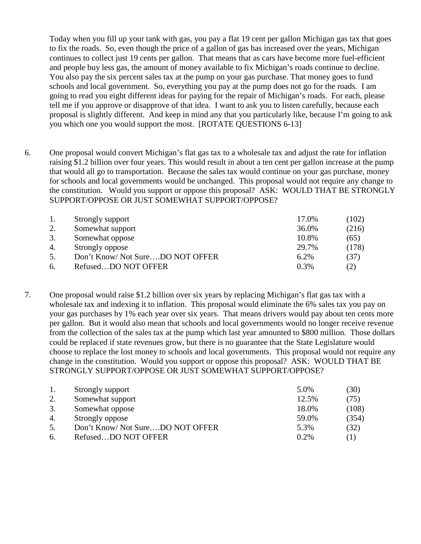Today when you fill up your tank with gas, you pay a flat 19 cent per gallon Michigan gas tax that goes to fix the roads. So, even though the price of a gallon of gas has increased over the years, Michigan continues to collect just 19 cents per gallon. That means that as cars have become more fuel-efficient and people buy less gas, the amount of money available to fix Michigan's roads continue to decline. You also pay the six percent sales tax at the pump on your gas purchase. That money goes to fund schools and local government. So, everything you pay at the pump does not go for the roads. I am going to read you eight different ideas for paying for the repair of Michigan's roads. For each, please tell me if you approve or disapprove of that idea. I want to ask you to listen carefully, because each proposal is slightly different. And keep in mind any that you particularly like, because I'm going to ask you which one you would support the most. [ROTATE QUESTIONS 6-13]

6. One proposal would convert Michigan's flat gas tax to a wholesale tax and adjust the rate for inflation raising \$1.2 billion over four years. This would result in about a ten cent per gallon increase at the pump that would all go to transportation. Because the sales tax would continue on your gas purchase, money for schools and local governments would be unchanged. This proposal would not require any change to the constitution. Would you support or oppose this proposal? ASK: WOULD THAT BE STRONGLY SUPPORT/OPPOSE OR JUST SOMEWHAT SUPPORT/OPPOSE?

| 1. | Strongly support                | 17.0% | (102) |
|----|---------------------------------|-------|-------|
| 2. | Somewhat support                | 36.0% | (216) |
| 3. | Somewhat oppose                 | 10.8% | (65)  |
| 4. | Strongly oppose                 | 29.7% | (178) |
| 5. | Don't Know/Not SureDO NOT OFFER | 6.2%  | (37)  |
| 6. | RefusedDO NOT OFFER             | 0.3%  | (2)   |

7. One proposal would raise \$1.2 billion over six years by replacing Michigan's flat gas tax with a wholesale tax and indexing it to inflation. This proposal would eliminate the 6% sales tax you pay on your gas purchases by 1% each year over six years. That means drivers would pay about ten cents more per gallon. But it would also mean that schools and local governments would no longer receive revenue from the collection of the sales tax at the pump which last year amounted to \$800 million. Those dollars could be replaced if state revenues grow, but there is no guarantee that the State Legislature would choose to replace the lost money to schools and local governments. This proposal would not require any change in the constitution. Would you support or oppose this proposal? ASK: WOULD THAT BE STRONGLY SUPPORT/OPPOSE OR JUST SOMEWHAT SUPPORT/OPPOSE?

| 1. | Strongly support                | 5.0%  | (30)  |
|----|---------------------------------|-------|-------|
| 2. | Somewhat support                | 12.5% | (75)  |
| 3. | Somewhat oppose                 | 18.0% | (108) |
| 4. | Strongly oppose                 | 59.0% | (354) |
| 5. | Don't Know/Not SureDO NOT OFFER | 5.3%  | (32)  |
| 6. | RefusedDO NOT OFFER             | 0.2%  | (1)   |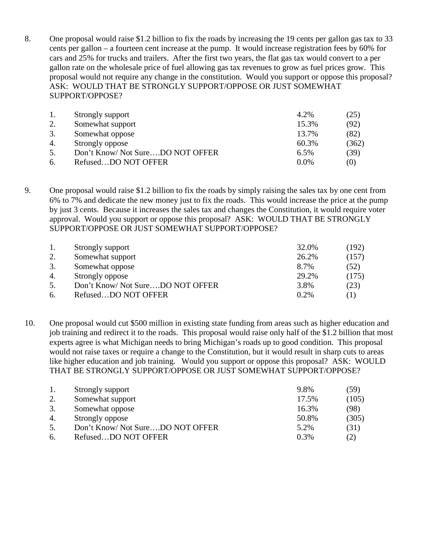8. One proposal would raise \$1.2 billion to fix the roads by increasing the 19 cents per gallon gas tax to 33 cents per gallon – a fourteen cent increase at the pump. It would increase registration fees by 60% for cars and 25% for trucks and trailers. After the first two years, the flat gas tax would convert to a per gallon rate on the wholesale price of fuel allowing gas tax revenues to grow as fuel prices grow. This proposal would not require any change in the constitution. Would you support or oppose this proposal? ASK: WOULD THAT BE STRONGLY SUPPORT/OPPOSE OR JUST SOMEWHAT SUPPORT/OPPOSE?

| -1. | Strongly support                | 4.2%    | (25)  |
|-----|---------------------------------|---------|-------|
| 2.  | Somewhat support                | 15.3%   | (92)  |
| 3.  | Somewhat oppose                 | 13.7%   | (82)  |
| 4.  | Strongly oppose                 | 60.3%   | (362) |
| 5.  | Don't Know/Not SureDO NOT OFFER | 6.5%    | (39)  |
| 6.  | RefusedDO NOT OFFER             | $0.0\%$ | (0)   |

9. One proposal would raise \$1.2 billion to fix the roads by simply raising the sales tax by one cent from 6% to 7% and dedicate the new money just to fix the roads. This would increase the price at the pump by just 3 cents. Because it increases the sales tax and changes the Constitution, it would require voter approval. Would you support or oppose this proposal? ASK: WOULD THAT BE STRONGLY SUPPORT/OPPOSE OR JUST SOMEWHAT SUPPORT/OPPOSE?

| 1. | Strongly support                 | 32.0%   | (192) |
|----|----------------------------------|---------|-------|
| 2. | Somewhat support                 | 26.2%   | (157) |
| 3. | Somewhat oppose                  | 8.7%    | (52)  |
| 4. | Strongly oppose                  | 29.2%   | (175) |
| 5. | Don't Know/ Not SureDO NOT OFFER | 3.8%    | (23)  |
| 6. | RefusedDO NOT OFFER              | $0.2\%$ | (1)   |

10. One proposal would cut \$500 million in existing state funding from areas such as higher education and job training and redirect it to the roads. This proposal would raise only half of the \$1.2 billion that most experts agree is what Michigan needs to bring Michigan's roads up to good condition. This proposal would not raise taxes or require a change to the Constitution, but it would result in sharp cuts to areas like higher education and job training. Would you support or oppose this proposal? ASK: WOULD THAT BE STRONGLY SUPPORT/OPPOSE OR JUST SOMEWHAT SUPPORT/OPPOSE?

| 1. | Strongly support                | 9.8%    | (59)  |
|----|---------------------------------|---------|-------|
| 2. | Somewhat support                | 17.5%   | (105) |
| 3. | Somewhat oppose                 | 16.3%   | (98)  |
| 4. | Strongly oppose                 | 50.8%   | (305) |
| 5. | Don't Know/Not SureDO NOT OFFER | 5.2%    | (31)  |
| 6. | RefusedDO NOT OFFER             | $0.3\%$ | (2)   |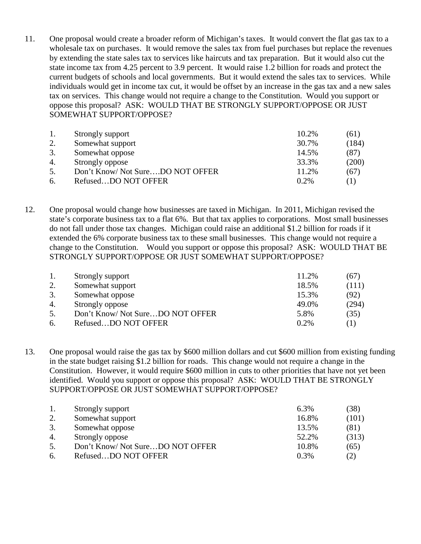11. One proposal would create a broader reform of Michigan's taxes. It would convert the flat gas tax to a wholesale tax on purchases. It would remove the sales tax from fuel purchases but replace the revenues by extending the state sales tax to services like haircuts and tax preparation. But it would also cut the state income tax from 4.25 percent to 3.9 percent. It would raise 1.2 billion for roads and protect the current budgets of schools and local governments. But it would extend the sales tax to services. While individuals would get in income tax cut, it would be offset by an increase in the gas tax and a new sales tax on services. This change would not require a change to the Constitution. Would you support or oppose this proposal? ASK: WOULD THAT BE STRONGLY SUPPORT/OPPOSE OR JUST SOMEWHAT SUPPORT/OPPOSE?

| 1. | Strongly support                 | 10.2%   | (61)  |
|----|----------------------------------|---------|-------|
| 2. | Somewhat support                 | 30.7%   | (184) |
| 3. | Somewhat oppose                  | 14.5%   | (87)  |
| 4. | Strongly oppose                  | 33.3%   | (200) |
| 5. | Don't Know/ Not SureDO NOT OFFER | 11.2%   | (67)  |
| 6. | RefusedDO NOT OFFER              | $0.2\%$ | (1)   |

12. One proposal would change how businesses are taxed in Michigan. In 2011, Michigan revised the state's corporate business tax to a flat 6%. But that tax applies to corporations. Most small businesses do not fall under those tax changes. Michigan could raise an additional \$1.2 billion for roads if it extended the 6% corporate business tax to these small businesses. This change would not require a change to the Constitution. Would you support or oppose this proposal? ASK: WOULD THAT BE STRONGLY SUPPORT/OPPOSE OR JUST SOMEWHAT SUPPORT/OPPOSE?

| 1. | Strongly support                | 11.2%   | (67)  |
|----|---------------------------------|---------|-------|
| 2. | Somewhat support                | 18.5%   | (111) |
| 3. | Somewhat oppose                 | 15.3%   | (92)  |
| 4. | Strongly oppose                 | 49.0%   | (294) |
| 5. | Don't Know/Not SureDO NOT OFFER | 5.8%    | (35)  |
| 6. | RefusedDO NOT OFFER             | $0.2\%$ | (1)   |

13. One proposal would raise the gas tax by \$600 million dollars and cut \$600 million from existing funding in the state budget raising \$1.2 billion for roads. This change would not require a change in the Constitution. However, it would require \$600 million in cuts to other priorities that have not yet been identified. Would you support or oppose this proposal? ASK: WOULD THAT BE STRONGLY SUPPORT/OPPOSE OR JUST SOMEWHAT SUPPORT/OPPOSE?

|    | Strongly support                | 6.3%    | (38)  |
|----|---------------------------------|---------|-------|
| 2. | Somewhat support                | 16.8%   | (101) |
| 3. | Somewhat oppose                 | 13.5%   | (81)  |
| 4. | Strongly oppose                 | 52.2%   | (313) |
| 5. | Don't Know/Not SureDO NOT OFFER | 10.8%   | (65)  |
| 6. | RefusedDO NOT OFFER             | $0.3\%$ | (2)   |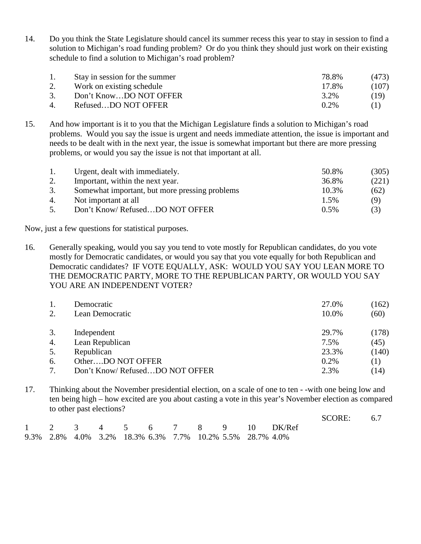14. Do you think the State Legislature should cancel its summer recess this year to stay in session to find a solution to Michigan's road funding problem? Or do you think they should just work on their existing schedule to find a solution to Michigan's road problem?

| 1. | Stay in session for the summer | 78.8%   | (473) |
|----|--------------------------------|---------|-------|
|    | Work on existing schedule      | 17.8%   | (107) |
| 3. | Don't KnowDO NOT OFFER         | 3.2%    | (19)  |
| 4. | RefusedDO NOT OFFER            | $0.2\%$ | (1)   |

15. And how important is it to you that the Michigan Legislature finds a solution to Michigan's road problems. Would you say the issue is urgent and needs immediate attention, the issue is important and needs to be dealt with in the next year, the issue is somewhat important but there are more pressing problems, or would you say the issue is not that important at all.

| -1. | Urgent, dealt with immediately.                | 50.8% | (305) |
|-----|------------------------------------------------|-------|-------|
|     | Important, within the next year.               | 36.8% | (221) |
| 3.  | Somewhat important, but more pressing problems | 10.3% | (62)  |
| 4.  | Not important at all                           | 1.5%  | (9)   |
| 5.  | Don't Know/RefusedDO NOT OFFER                 | 0.5%  | (3)   |

Now, just a few questions for statistical purposes.

16. Generally speaking, would you say you tend to vote mostly for Republican candidates, do you vote mostly for Democratic candidates, or would you say that you vote equally for both Republican and Democratic candidates? IF VOTE EQUALLY, ASK: WOULD YOU SAY YOU LEAN MORE TO THE DEMOCRATIC PARTY, MORE TO THE REPUBLICAN PARTY, OR WOULD YOU SAY YOU ARE AN INDEPENDENT VOTER?

| 2. | Democratic<br>Lean Democratic  | 27.0%<br>10.0% | (162)<br>(60) |
|----|--------------------------------|----------------|---------------|
| 3. | Independent                    | 29.7%          | (178)         |
| 4. | Lean Republican                | 7.5%           | (45)          |
| 5. | Republican                     | 23.3%          | (140)         |
| 6. | OtherDO NOT OFFER              | 0.2%           | (1)           |
|    | Don't Know/RefusedDO NOT OFFER | 2.3%           | (14)          |

17. Thinking about the November presidential election, on a scale of one to ten - -with one being low and ten being high – how excited are you about casting a vote in this year's November election as compared to other past elections?

|  |  |                                                           |  |  |                             | SCORE: 6.7 |  |
|--|--|-----------------------------------------------------------|--|--|-----------------------------|------------|--|
|  |  |                                                           |  |  | 1 2 3 4 5 6 7 8 9 10 DK/Ref |            |  |
|  |  | 9.3% 2.8% 4.0% 3.2% 18.3% 6.3% 7.7% 10.2% 5.5% 28.7% 4.0% |  |  |                             |            |  |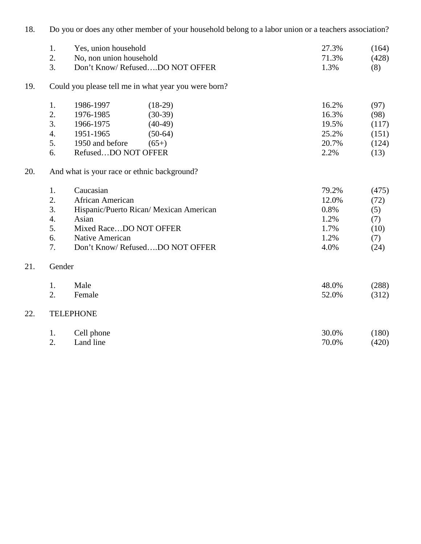| 18. | Do you or does any other member of your household belong to a labor union or a teachers association? |                                             |                                                      |       |       |  |  |  |
|-----|------------------------------------------------------------------------------------------------------|---------------------------------------------|------------------------------------------------------|-------|-------|--|--|--|
|     | 1.                                                                                                   | Yes, union household                        | 27.3%                                                | (164) |       |  |  |  |
|     | 2.                                                                                                   | No, non union household                     |                                                      | 71.3% | (428) |  |  |  |
|     | $\overline{3}$ .                                                                                     |                                             | Don't Know/RefusedDO NOT OFFER                       | 1.3%  | (8)   |  |  |  |
| 19. |                                                                                                      |                                             | Could you please tell me in what year you were born? |       |       |  |  |  |
|     | 1.                                                                                                   | 1986-1997                                   | $(18-29)$                                            | 16.2% | (97)  |  |  |  |
|     | 2.                                                                                                   | 1976-1985                                   | $(30-39)$                                            | 16.3% | (98)  |  |  |  |
|     | 3.                                                                                                   | 1966-1975                                   | $(40-49)$                                            | 19.5% | (117) |  |  |  |
|     | 4.                                                                                                   | 1951-1965                                   | $(50-64)$                                            | 25.2% | (151) |  |  |  |
|     | 5.                                                                                                   | 1950 and before                             | $(65+)$                                              | 20.7% | (124) |  |  |  |
|     | 6.                                                                                                   | RefusedDO NOT OFFER                         |                                                      | 2.2%  | (13)  |  |  |  |
| 20. |                                                                                                      | And what is your race or ethnic background? |                                                      |       |       |  |  |  |
|     | 1.                                                                                                   | Caucasian                                   |                                                      | 79.2% | (475) |  |  |  |
|     | 2.                                                                                                   | African American                            |                                                      | 12.0% | (72)  |  |  |  |
|     | 3.                                                                                                   |                                             | Hispanic/Puerto Rican/ Mexican American              | 0.8%  | (5)   |  |  |  |
|     | $\overline{4}$ .                                                                                     | Asian                                       |                                                      | 1.2%  | (7)   |  |  |  |
|     | 5.                                                                                                   | Mixed RaceDO NOT OFFER                      |                                                      | 1.7%  | (10)  |  |  |  |
|     | 6.                                                                                                   | Native American                             |                                                      | 1.2%  | (7)   |  |  |  |
|     | 7.                                                                                                   |                                             | Don't Know/RefusedDO NOT OFFER                       | 4.0%  | (24)  |  |  |  |
| 21. | Gender                                                                                               |                                             |                                                      |       |       |  |  |  |
|     | 1.                                                                                                   | Male                                        |                                                      | 48.0% | (288) |  |  |  |
|     | 2.                                                                                                   | Female                                      |                                                      | 52.0% | (312) |  |  |  |
| 22. |                                                                                                      | <b>TELEPHONE</b>                            |                                                      |       |       |  |  |  |
|     | 1.                                                                                                   | Cell phone                                  |                                                      | 30.0% | (180) |  |  |  |
|     | 2.                                                                                                   | Land line                                   |                                                      | 70.0% | (420) |  |  |  |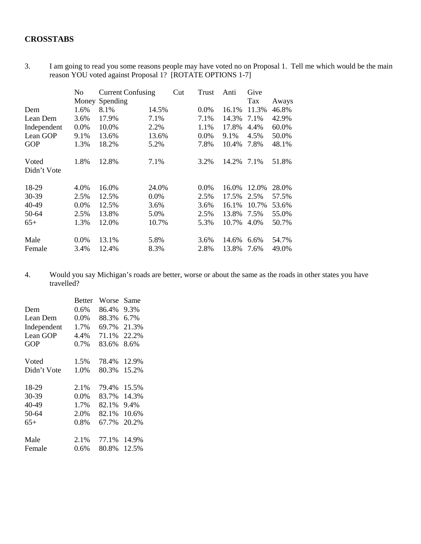## **CROSSTABS**

3. I am going to read you some reasons people may have voted no on Proposal 1. Tell me which would be the main reason YOU voted against Proposal 1? [ROTATE OPTIONS 1-7]

|                      | No      | <b>Current Confusing</b> |         | Cut | Trust   | Anti  | Give  |       |
|----------------------|---------|--------------------------|---------|-----|---------|-------|-------|-------|
|                      | Money   | Spending                 |         |     |         |       | Tax   | Aways |
| Dem                  | 1.6%    | 8.1%                     | 14.5%   |     | $0.0\%$ | 16.1% | 11.3% | 46.8% |
| Lean Dem             | 3.6%    | 17.9%                    | 7.1%    |     | 7.1%    | 14.3% | 7.1%  | 42.9% |
| Independent          | $0.0\%$ | 10.0%                    | 2.2%    |     | 1.1%    | 17.8% | 4.4%  | 60.0% |
| Lean GOP             | 9.1%    | 13.6%                    | 13.6%   |     | 0.0%    | 9.1%  | 4.5%  | 50.0% |
| <b>GOP</b>           | 1.3%    | 18.2%                    | 5.2%    |     | 7.8%    | 10.4% | 7.8%  | 48.1% |
| Voted<br>Didn't Vote | 1.8%    | 12.8%                    | 7.1%    |     | 3.2%    | 14.2% | 7.1%  | 51.8% |
| 18-29                | 4.0%    | 16.0%                    | 24.0%   |     | $0.0\%$ | 16.0% | 12.0% | 28.0% |
| 30-39                | 2.5%    | 12.5%                    | $0.0\%$ |     | 2.5%    | 17.5% | 2.5%  | 57.5% |
| 40-49                | $0.0\%$ | 12.5%                    | 3.6%    |     | 3.6%    | 16.1% | 10.7% | 53.6% |
| 50-64                | 2.5%    | 13.8%                    | 5.0%    |     | 2.5%    | 13.8% | 7.5%  | 55.0% |
| $65+$                | 1.3%    | 12.0%                    | 10.7%   |     | 5.3%    | 10.7% | 4.0%  | 50.7% |
| Male                 | $0.0\%$ | 13.1%                    | 5.8%    |     | 3.6%    | 14.6% | 6.6%  | 54.7% |
| Female               | 3.4%    | 12.4%                    | 8.3%    |     | 2.8%    | 13.8% | 7.6%  | 49.0% |

4. Would you say Michigan's roads are better, worse or about the same as the roads in other states you have travelled?

|             | <b>Better</b> | Worse | Same  |
|-------------|---------------|-------|-------|
| Dem         | $0.6\%$       | 86.4% | 9.3%  |
| Lean Dem    | 0.0%          | 88.3% | 6.7%  |
| Independent | 1.7%          | 69.7% | 21.3% |
| Lean GOP    | 4.4%          | 71.1% | 22.2% |
| <b>GOP</b>  | 0.7%          | 83.6% | 8.6%  |
| Voted       | 1.5%          | 78.4% | 12.9% |
| Didn't Vote | 1.0%          | 80.3% | 15.2% |
| 18-29       | 2.1%          | 79.4% | 15.5% |
| 30-39       | $0.0\%$       | 83.7% | 14.3% |
| 40-49       | 1.7%          | 82.1% | 9.4%  |
| 50-64       | 2.0%          | 82.1% | 10.6% |
| $65+$       | 0.8%          | 67.7% | 20.2% |
| Male        | 2.1%          | 77.1% | 14.9% |
| Female      | 0.6%          | 80.8% | 12.5% |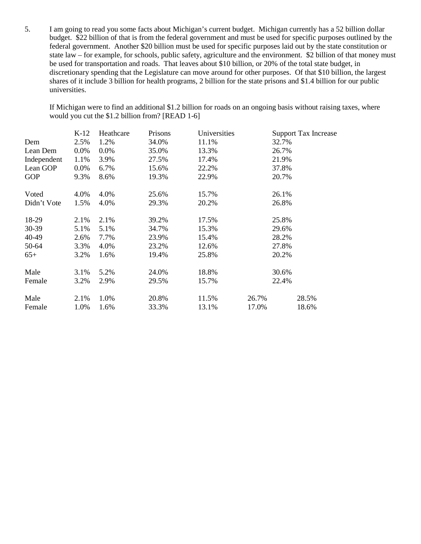5. I am going to read you some facts about Michigan's current budget. Michigan currently has a 52 billion dollar budget. \$22 billion of that is from the federal government and must be used for specific purposes outlined by the federal government. Another \$20 billion must be used for specific purposes laid out by the state constitution or state law – for example, for schools, public safety, agriculture and the environment. \$2 billion of that money must be used for transportation and roads. That leaves about \$10 billion, or 20% of the total state budget, in discretionary spending that the Legislature can move around for other purposes. Of that \$10 billion, the largest shares of it include 3 billion for health programs, 2 billion for the state prisons and \$1.4 billion for our public universities.

If Michigan were to find an additional \$1.2 billion for roads on an ongoing basis without raising taxes, where would you cut the \$1.2 billion from? [READ 1-6]

|             | $K-12$  | Heathcare | Prisons | Universities |       | <b>Support Tax Increase</b> |
|-------------|---------|-----------|---------|--------------|-------|-----------------------------|
| Dem         | 2.5%    | 1.2%      | 34.0%   | 11.1%        | 32.7% |                             |
| Lean Dem    | $0.0\%$ | $0.0\%$   | 35.0%   | 13.3%        | 26.7% |                             |
| Independent | 1.1%    | 3.9%      | 27.5%   | 17.4%        | 21.9% |                             |
| Lean GOP    | $0.0\%$ | 6.7%      | 15.6%   | 22.2%        | 37.8% |                             |
| <b>GOP</b>  | 9.3%    | 8.6%      | 19.3%   | 22.9%        | 20.7% |                             |
| Voted       | 4.0%    | 4.0%      | 25.6%   | 15.7%        | 26.1% |                             |
| Didn't Vote | 1.5%    | 4.0%      | 29.3%   | 20.2%        | 26.8% |                             |
| 18-29       | 2.1%    | 2.1%      | 39.2%   | 17.5%        | 25.8% |                             |
| 30-39       | 5.1%    | 5.1%      | 34.7%   | 15.3%        | 29.6% |                             |
| 40-49       | 2.6%    | 7.7%      | 23.9%   | 15.4%        | 28.2% |                             |
| 50-64       | 3.3%    | 4.0%      | 23.2%   | 12.6%        | 27.8% |                             |
| $65+$       | 3.2%    | 1.6%      | 19.4%   | 25.8%        | 20.2% |                             |
| Male        | 3.1%    | 5.2%      | 24.0%   | 18.8%        | 30.6% |                             |
| Female      | 3.2%    | 2.9%      | 29.5%   | 15.7%        | 22.4% |                             |
| Male        | 2.1%    | 1.0%      | 20.8%   | 11.5%        | 26.7% | 28.5%                       |
| Female      | 1.0%    | 1.6%      | 33.3%   | 13.1%        | 17.0% | 18.6%                       |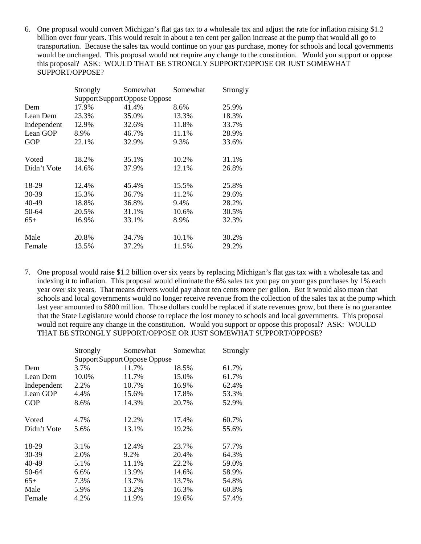6. One proposal would convert Michigan's flat gas tax to a wholesale tax and adjust the rate for inflation raising \$1.2 billion over four years. This would result in about a ten cent per gallon increase at the pump that would all go to transportation. Because the sales tax would continue on your gas purchase, money for schools and local governments would be unchanged. This proposal would not require any change to the constitution. Would you support or oppose this proposal? ASK: WOULD THAT BE STRONGLY SUPPORT/OPPOSE OR JUST SOMEWHAT SUPPORT/OPPOSE?

|             | Strongly | Somewhat                      | Somewhat | Strongly |
|-------------|----------|-------------------------------|----------|----------|
|             |          | Support Support Oppose Oppose |          |          |
| Dem         | 17.9%    | 41.4%                         | 8.6%     | 25.9%    |
| Lean Dem    | 23.3%    | 35.0%                         | 13.3%    | 18.3%    |
| Independent | 12.9%    | 32.6%                         | 11.8%    | 33.7%    |
| Lean GOP    | 8.9%     | 46.7%                         | 11.1%    | 28.9%    |
| <b>GOP</b>  | 22.1%    | 32.9%                         | 9.3%     | 33.6%    |
| Voted       | 18.2%    | 35.1%                         | 10.2%    | 31.1%    |
| Didn't Vote | 14.6%    | 37.9%                         | 12.1%    | 26.8%    |
| 18-29       | 12.4%    | 45.4%                         | 15.5%    | 25.8%    |
| 30-39       | 15.3%    | 36.7%                         | 11.2%    | 29.6%    |
| 40-49       | 18.8%    | 36.8%                         | 9.4%     | 28.2%    |
| 50-64       | 20.5%    | 31.1%                         | 10.6%    | 30.5%    |
| $65+$       | 16.9%    | 33.1%                         | 8.9%     | 32.3%    |
| Male        | 20.8%    | 34.7%                         | 10.1%    | 30.2%    |
| Female      | 13.5%    | 37.2%                         | 11.5%    | 29.2%    |

7. One proposal would raise \$1.2 billion over six years by replacing Michigan's flat gas tax with a wholesale tax and indexing it to inflation. This proposal would eliminate the 6% sales tax you pay on your gas purchases by 1% each year over six years. That means drivers would pay about ten cents more per gallon. But it would also mean that schools and local governments would no longer receive revenue from the collection of the sales tax at the pump which last year amounted to \$800 million. Those dollars could be replaced if state revenues grow, but there is no guarantee that the State Legislature would choose to replace the lost money to schools and local governments. This proposal would not require any change in the constitution. Would you support or oppose this proposal? ASK: WOULD THAT BE STRONGLY SUPPORT/OPPOSE OR JUST SOMEWHAT SUPPORT/OPPOSE?

|             | Strongly | Somewhat                      | Somewhat | Strongly |
|-------------|----------|-------------------------------|----------|----------|
|             |          | Support Support Oppose Oppose |          |          |
| Dem         | 3.7%     | 11.7%                         | 18.5%    | 61.7%    |
| Lean Dem    | 10.0%    | 11.7%                         | 15.0%    | 61.7%    |
| Independent | 2.2%     | 10.7%                         | 16.9%    | 62.4%    |
| Lean GOP    | 4.4%     | 15.6%                         | 17.8%    | 53.3%    |
| <b>GOP</b>  | 8.6%     | 14.3%                         | 20.7%    | 52.9%    |
| Voted       | 4.7%     | 12.2%                         | 17.4%    | 60.7%    |
| Didn't Vote | 5.6%     | 13.1%                         | 19.2%    | 55.6%    |
| 18-29       | 3.1%     | 12.4%                         | 23.7%    | 57.7%    |
| 30-39       | 2.0%     | 9.2%                          | 20.4%    | 64.3%    |
| 40-49       | 5.1%     | 11.1%                         | 22.2%    | 59.0%    |
| 50-64       | 6.6%     | 13.9%                         | 14.6%    | 58.9%    |
| $65+$       | 7.3%     | 13.7%                         | 13.7%    | 54.8%    |
| Male        | 5.9%     | 13.2%                         | 16.3%    | 60.8%    |
| Female      | 4.2%     | 11.9%                         | 19.6%    | 57.4%    |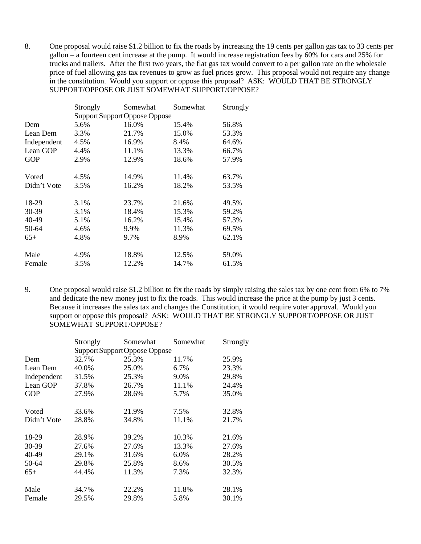8. One proposal would raise \$1.2 billion to fix the roads by increasing the 19 cents per gallon gas tax to 33 cents per gallon – a fourteen cent increase at the pump. It would increase registration fees by 60% for cars and 25% for trucks and trailers. After the first two years, the flat gas tax would convert to a per gallon rate on the wholesale price of fuel allowing gas tax revenues to grow as fuel prices grow. This proposal would not require any change in the constitution. Would you support or oppose this proposal? ASK: WOULD THAT BE STRONGLY SUPPORT/OPPOSE OR JUST SOMEWHAT SUPPORT/OPPOSE?

|             | <b>Strongly</b> | Somewhat                      | Somewhat | Strongly |
|-------------|-----------------|-------------------------------|----------|----------|
|             |                 | Support Support Oppose Oppose |          |          |
| Dem         | 5.6%            | 16.0%                         | 15.4%    | 56.8%    |
| Lean Dem    | 3.3%            | 21.7%                         | 15.0%    | 53.3%    |
| Independent | 4.5%            | 16.9%                         | 8.4%     | 64.6%    |
| Lean GOP    | 4.4%            | 11.1%                         | 13.3%    | 66.7%    |
| <b>GOP</b>  | 2.9%            | 12.9%                         | 18.6%    | 57.9%    |
|             |                 |                               |          |          |
| Voted       | 4.5%            | 14.9%                         | 11.4%    | 63.7%    |
| Didn't Vote | 3.5%            | 16.2%                         | 18.2%    | 53.5%    |
|             |                 |                               |          |          |
| 18-29       | 3.1%            | 23.7%                         | 21.6%    | 49.5%    |
| 30-39       | 3.1%            | 18.4%                         | 15.3%    | 59.2%    |
| 40-49       | 5.1%            | 16.2%                         | 15.4%    | 57.3%    |
| 50-64       | 4.6%            | 9.9%                          | 11.3%    | 69.5%    |
| $65+$       | 4.8%            | 9.7%                          | 8.9%     | 62.1%    |
|             |                 |                               |          |          |
| Male        | 4.9%            | 18.8%                         | 12.5%    | 59.0%    |
| Female      | 3.5%            | 12.2%                         | 14.7%    | 61.5%    |

9. One proposal would raise \$1.2 billion to fix the roads by simply raising the sales tax by one cent from 6% to 7% and dedicate the new money just to fix the roads. This would increase the price at the pump by just 3 cents. Because it increases the sales tax and changes the Constitution, it would require voter approval. Would you support or oppose this proposal? ASK: WOULD THAT BE STRONGLY SUPPORT/OPPOSE OR JUST SOMEWHAT SUPPORT/OPPOSE?

|             | Strongly                      | Somewhat | Somewhat | Strongly |  |
|-------------|-------------------------------|----------|----------|----------|--|
|             | Support Support Oppose Oppose |          |          |          |  |
| Dem         | 32.7%                         | 25.3%    | 11.7%    | 25.9%    |  |
| Lean Dem    | 40.0%                         | 25.0%    | 6.7%     | 23.3%    |  |
| Independent | 31.5%                         | 25.3%    | 9.0%     | 29.8%    |  |
| Lean GOP    | 37.8%                         | 26.7%    | 11.1%    | 24.4%    |  |
| GOP         | 27.9%                         | 28.6%    | 5.7%     | 35.0%    |  |
| Voted       | 33.6%                         | 21.9%    | 7.5%     | 32.8%    |  |
| Didn't Vote | 28.8%                         | 34.8%    | 11.1%    | 21.7%    |  |
| 18-29       | 28.9%                         | 39.2%    | 10.3%    | 21.6%    |  |
| 30-39       | 27.6%                         | 27.6%    | 13.3%    | 27.6%    |  |
| 40-49       | 29.1%                         | 31.6%    | 6.0%     | 28.2%    |  |
| 50-64       | 29.8%                         | 25.8%    | 8.6%     | 30.5%    |  |
| $65+$       | 44.4%                         | 11.3%    | 7.3%     | 32.3%    |  |
| Male        | 34.7%                         | 22.2%    | 11.8%    | 28.1%    |  |
| Female      | 29.5%                         | 29.8%    | 5.8%     | 30.1%    |  |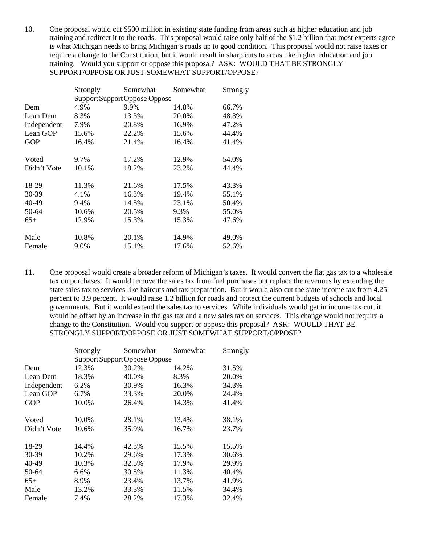10. One proposal would cut \$500 million in existing state funding from areas such as higher education and job training and redirect it to the roads. This proposal would raise only half of the \$1.2 billion that most experts agree is what Michigan needs to bring Michigan's roads up to good condition. This proposal would not raise taxes or require a change to the Constitution, but it would result in sharp cuts to areas like higher education and job training. Would you support or oppose this proposal? ASK: WOULD THAT BE STRONGLY SUPPORT/OPPOSE OR JUST SOMEWHAT SUPPORT/OPPOSE?

|             | Strongly | Somewhat                      | Somewhat | Strongly |
|-------------|----------|-------------------------------|----------|----------|
|             |          | Support Support Oppose Oppose |          |          |
| Dem         | 4.9%     | 9.9%                          | 14.8%    | 66.7%    |
| Lean Dem    | 8.3%     | 13.3%                         | 20.0%    | 48.3%    |
| Independent | 7.9%     | 20.8%                         | 16.9%    | 47.2%    |
| Lean GOP    | 15.6%    | 22.2%                         | 15.6%    | 44.4%    |
| <b>GOP</b>  | 16.4%    | 21.4%                         | 16.4%    | 41.4%    |
| Voted       | 9.7%     | 17.2%                         | 12.9%    | 54.0%    |
| Didn't Vote | 10.1%    | 18.2%                         | 23.2%    | 44.4%    |
| 18-29       | 11.3%    | 21.6%                         | 17.5%    | 43.3%    |
| 30-39       | 4.1%     | 16.3%                         | 19.4%    | 55.1%    |
| 40-49       | 9.4%     | 14.5%                         | 23.1%    | 50.4%    |
| 50-64       | 10.6%    | 20.5%                         | 9.3%     | 55.0%    |
| $65+$       | 12.9%    | 15.3%                         | 15.3%    | 47.6%    |
| Male        | 10.8%    | 20.1%                         | 14.9%    | 49.0%    |
| Female      | 9.0%     | 15.1%                         | 17.6%    | 52.6%    |

11. One proposal would create a broader reform of Michigan's taxes. It would convert the flat gas tax to a wholesale tax on purchases. It would remove the sales tax from fuel purchases but replace the revenues by extending the state sales tax to services like haircuts and tax preparation. But it would also cut the state income tax from 4.25 percent to 3.9 percent. It would raise 1.2 billion for roads and protect the current budgets of schools and local governments. But it would extend the sales tax to services. While individuals would get in income tax cut, it would be offset by an increase in the gas tax and a new sales tax on services. This change would not require a change to the Constitution. Would you support or oppose this proposal? ASK: WOULD THAT BE STRONGLY SUPPORT/OPPOSE OR JUST SOMEWHAT SUPPORT/OPPOSE?

|             | Strongly                      | Somewhat | Somewhat | Strongly |  |
|-------------|-------------------------------|----------|----------|----------|--|
|             | Support Support Oppose Oppose |          |          |          |  |
| Dem         | 12.3%                         | 30.2%    | 14.2%    | 31.5%    |  |
| Lean Dem    | 18.3%                         | 40.0%    | 8.3%     | 20.0%    |  |
| Independent | 6.2%                          | 30.9%    | 16.3%    | 34.3%    |  |
| Lean GOP    | 6.7%                          | 33.3%    | 20.0%    | 24.4%    |  |
| <b>GOP</b>  | 10.0%                         | 26.4%    | 14.3%    | 41.4%    |  |
|             |                               |          |          |          |  |
| Voted       | 10.0%                         | 28.1%    | 13.4%    | 38.1%    |  |
| Didn't Vote | 10.6%                         | 35.9%    | 16.7%    | 23.7%    |  |
|             |                               |          |          |          |  |
| 18-29       | 14.4%                         | 42.3%    | 15.5%    | 15.5%    |  |
| 30-39       | 10.2%                         | 29.6%    | 17.3%    | 30.6%    |  |
| 40-49       | 10.3%                         | 32.5%    | 17.9%    | 29.9%    |  |
| 50-64       | 6.6%                          | 30.5%    | 11.3%    | 40.4%    |  |
| $65+$       | 8.9%                          | 23.4%    | 13.7%    | 41.9%    |  |
| Male        | 13.2%                         | 33.3%    | 11.5%    | 34.4%    |  |
| Female      | 7.4%                          | 28.2%    | 17.3%    | 32.4%    |  |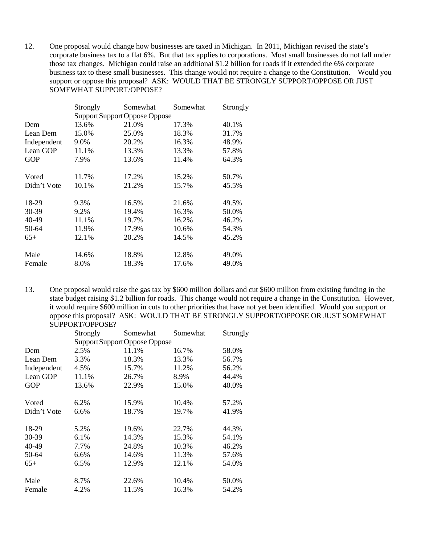12. One proposal would change how businesses are taxed in Michigan. In 2011, Michigan revised the state's corporate business tax to a flat 6%. But that tax applies to corporations. Most small businesses do not fall under those tax changes. Michigan could raise an additional \$1.2 billion for roads if it extended the 6% corporate business tax to these small businesses. This change would not require a change to the Constitution. Would you support or oppose this proposal? ASK: WOULD THAT BE STRONGLY SUPPORT/OPPOSE OR JUST SOMEWHAT SUPPORT/OPPOSE?

|             | Strongly                      | Somewhat | Somewhat | Strongly |
|-------------|-------------------------------|----------|----------|----------|
|             | Support Support Oppose Oppose |          |          |          |
| Dem         | 13.6%                         | 21.0%    | 17.3%    | 40.1%    |
| Lean Dem    | 15.0%                         | 25.0%    | 18.3%    | 31.7%    |
| Independent | 9.0%                          | 20.2%    | 16.3%    | 48.9%    |
| Lean GOP    | 11.1%                         | 13.3%    | 13.3%    | 57.8%    |
| <b>GOP</b>  | 7.9%                          | 13.6%    | 11.4%    | 64.3%    |
| Voted       | 11.7%                         | 17.2%    | 15.2%    | 50.7%    |
| Didn't Vote | 10.1%                         | 21.2%    | 15.7%    | 45.5%    |
| 18-29       | 9.3%                          | 16.5%    | 21.6%    | 49.5%    |
| 30-39       | 9.2%                          | 19.4%    | 16.3%    | 50.0%    |
| 40-49       | 11.1%                         | 19.7%    | 16.2%    | 46.2%    |
| 50-64       | 11.9%                         | 17.9%    | 10.6%    | 54.3%    |
| $65+$       | 12.1%                         | 20.2%    | 14.5%    | 45.2%    |
| Male        | 14.6%                         | 18.8%    | 12.8%    | 49.0%    |
| Female      | 8.0%                          | 18.3%    | 17.6%    | 49.0%    |

13. One proposal would raise the gas tax by \$600 million dollars and cut \$600 million from existing funding in the state budget raising \$1.2 billion for roads. This change would not require a change in the Constitution. However, it would require \$600 million in cuts to other priorities that have not yet been identified. Would you support or oppose this proposal? ASK: WOULD THAT BE STRONGLY SUPPORT/OPPOSE OR JUST SOMEWHAT SUPPORT/OPPOSE?

|             | Strongly | Somewhat                      | Somewhat | Strongly |
|-------------|----------|-------------------------------|----------|----------|
|             |          | Support Support Oppose Oppose |          |          |
| Dem         | 2.5%     | 11.1%                         | 16.7%    | 58.0%    |
| Lean Dem    | 3.3%     | 18.3%                         | 13.3%    | 56.7%    |
| Independent | 4.5%     | 15.7%                         | 11.2%    | 56.2%    |
| Lean GOP    | 11.1%    | 26.7%                         | 8.9%     | 44.4%    |
| <b>GOP</b>  | 13.6%    | 22.9%                         | 15.0%    | 40.0%    |
| Voted       | 6.2%     | 15.9%                         | 10.4%    | 57.2%    |
| Didn't Vote | 6.6%     | 18.7%                         | 19.7%    | 41.9%    |
| 18-29       | 5.2%     | 19.6%                         | 22.7%    | 44.3%    |
| 30-39       | 6.1%     | 14.3%                         | 15.3%    | 54.1%    |
| 40-49       | 7.7%     | 24.8%                         | 10.3%    | 46.2%    |
| 50-64       | 6.6%     | 14.6%                         | 11.3%    | 57.6%    |
| $65+$       | 6.5%     | 12.9%                         | 12.1%    | 54.0%    |
| Male        | 8.7%     | 22.6%                         | 10.4%    | 50.0%    |
| Female      | 4.2%     | 11.5%                         | 16.3%    | 54.2%    |